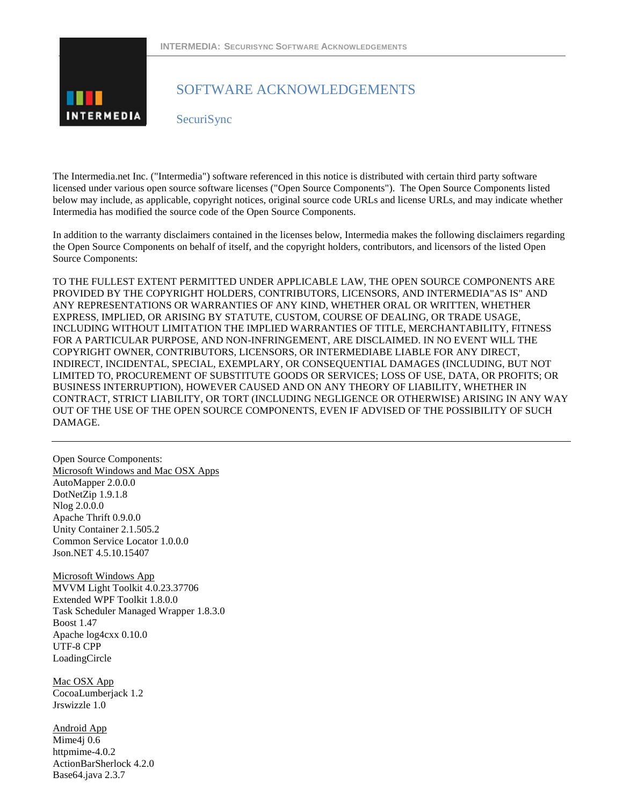

# SOFTWARE ACKNOWLEDGEMENTS

**SecuriSync** 

The Intermedia.net Inc. ("Intermedia") software referenced in this notice is distributed with certain third party software licensed under various open source software licenses ("Open Source Components"). The Open Source Components listed below may include, as applicable, copyright notices, original source code URLs and license URLs, and may indicate whether Intermedia has modified the source code of the Open Source Components.

In addition to the warranty disclaimers contained in the licenses below, Intermedia makes the following disclaimers regarding the Open Source Components on behalf of itself, and the copyright holders, contributors, and licensors of the listed Open Source Components:

TO THE FULLEST EXTENT PERMITTED UNDER APPLICABLE LAW, THE OPEN SOURCE COMPONENTS ARE PROVIDED BY THE COPYRIGHT HOLDERS, CONTRIBUTORS, LICENSORS, AND INTERMEDIA"AS IS" AND ANY REPRESENTATIONS OR WARRANTIES OF ANY KIND, WHETHER ORAL OR WRITTEN, WHETHER EXPRESS, IMPLIED, OR ARISING BY STATUTE, CUSTOM, COURSE OF DEALING, OR TRADE USAGE, INCLUDING WITHOUT LIMITATION THE IMPLIED WARRANTIES OF TITLE, MERCHANTABILITY, FITNESS FOR A PARTICULAR PURPOSE, AND NON-INFRINGEMENT, ARE DISCLAIMED. IN NO EVENT WILL THE COPYRIGHT OWNER, CONTRIBUTORS, LICENSORS, OR INTERMEDIABE LIABLE FOR ANY DIRECT, INDIRECT, INCIDENTAL, SPECIAL, EXEMPLARY, OR CONSEQUENTIAL DAMAGES (INCLUDING, BUT NOT LIMITED TO, PROCUREMENT OF SUBSTITUTE GOODS OR SERVICES; LOSS OF USE, DATA, OR PROFITS; OR BUSINESS INTERRUPTION), HOWEVER CAUSED AND ON ANY THEORY OF LIABILITY, WHETHER IN CONTRACT, STRICT LIABILITY, OR TORT (INCLUDING NEGLIGENCE OR OTHERWISE) ARISING IN ANY WAY OUT OF THE USE OF THE OPEN SOURCE COMPONENTS, EVEN IF ADVISED OF THE POSSIBILITY OF SUCH DAMAGE.

Open Source Components: Microsoft Windows and Mac OSX Apps AutoMapper 2.0.0.0 DotNetZip 1.9.1.8 Nlog 2.0.0.0 Apache Thrift 0.9.0.0 Unity Container 2.1.505.2 Common Service Locator 1.0.0.0 Json.NET 4.5.10.15407

Microsoft Windows App MVVM Light Toolkit 4.0.23.37706 Extended WPF Toolkit 1.8.0.0 Task Scheduler Managed Wrapper 1.8.3.0 Boost 1.47 Apache log4cxx 0.10.0 UTF-8 CPP LoadingCircle

Mac OSX App CocoaLumberjack 1.2 Jrswizzle 1.0

Android App Mime4j 0.6 httpmime-4.0.2 ActionBarSherlock 4.2.0 Base64.java 2.3.7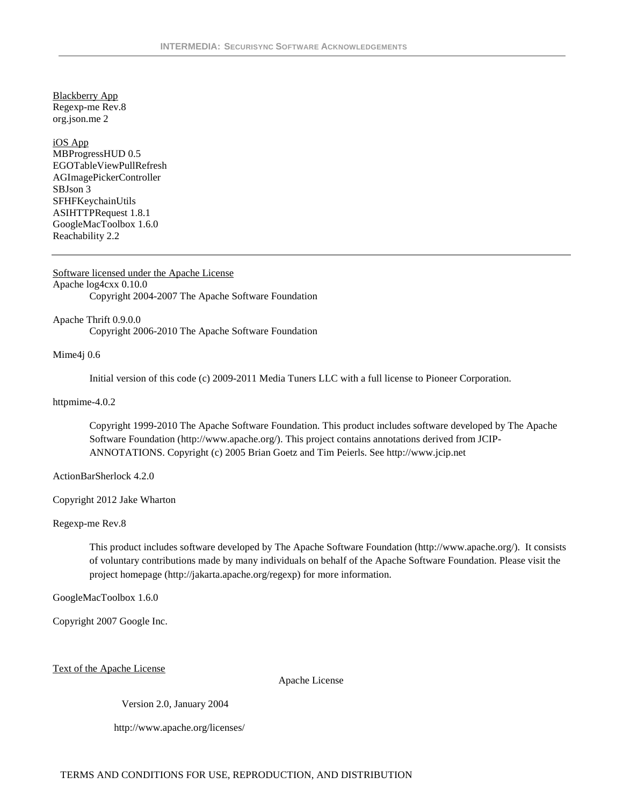Blackberry App Regexp-me Rev.8 org.json.me 2

iOS App MBProgressHUD 0.5 EGOTableViewPullRefresh AGImagePickerController SBJson 3 SFHFKeychainUtils ASIHTTPRequest 1.8.1 GoogleMacToolbox 1.6.0 Reachability 2.2

Software licensed under the Apache License Apache log4cxx 0.10.0 Copyright 2004-2007 The Apache Software Foundation

Apache Thrift 0.9.0.0 Copyright 2006-2010 The Apache Software Foundation

Mime4j 0.6

Initial version of this code (c) 2009-2011 Media Tuners LLC with a full license to Pioneer Corporation.

httpmime-4.0.2

Copyright 1999-2010 The Apache Software Foundation. This product includes software developed by The Apache Software Foundation (http://www.apache.org/). This project contains annotations derived from JCIP-ANNOTATIONS. Copyright (c) 2005 Brian Goetz and Tim Peierls. See http://www.jcip.net

ActionBarSherlock 4.2.0

Copyright 2012 Jake Wharton

Regexp-me Rev.8

This product includes software developed by The Apache Software Foundation (http://www.apache.org/). It consists of voluntary contributions made by many individuals on behalf of the Apache Software Foundation. Please visit the project homepage (http://jakarta.apache.org/regexp) for more information.

GoogleMacToolbox 1.6.0

Copyright 2007 Google Inc.

Text of the Apache License

Apache License

Version 2.0, January 2004

http://www.apache.org/licenses/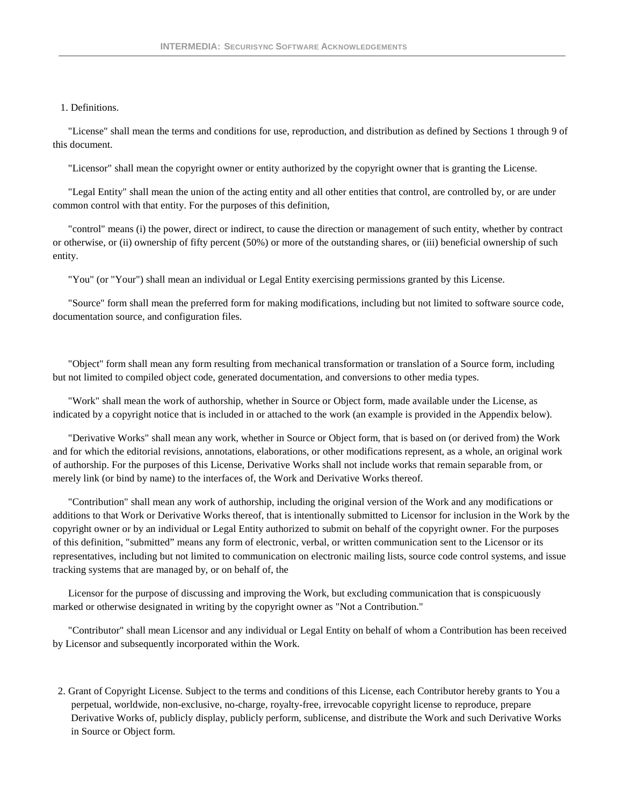#### 1. Definitions.

 "License" shall mean the terms and conditions for use, reproduction, and distribution as defined by Sections 1 through 9 of this document.

"Licensor" shall mean the copyright owner or entity authorized by the copyright owner that is granting the License.

 "Legal Entity" shall mean the union of the acting entity and all other entities that control, are controlled by, or are under common control with that entity. For the purposes of this definition,

 "control" means (i) the power, direct or indirect, to cause the direction or management of such entity, whether by contract or otherwise, or (ii) ownership of fifty percent (50%) or more of the outstanding shares, or (iii) beneficial ownership of such entity.

"You" (or "Your") shall mean an individual or Legal Entity exercising permissions granted by this License.

 "Source" form shall mean the preferred form for making modifications, including but not limited to software source code, documentation source, and configuration files.

 "Object" form shall mean any form resulting from mechanical transformation or translation of a Source form, including but not limited to compiled object code, generated documentation, and conversions to other media types.

 "Work" shall mean the work of authorship, whether in Source or Object form, made available under the License, as indicated by a copyright notice that is included in or attached to the work (an example is provided in the Appendix below).

 "Derivative Works" shall mean any work, whether in Source or Object form, that is based on (or derived from) the Work and for which the editorial revisions, annotations, elaborations, or other modifications represent, as a whole, an original work of authorship. For the purposes of this License, Derivative Works shall not include works that remain separable from, or merely link (or bind by name) to the interfaces of, the Work and Derivative Works thereof.

 "Contribution" shall mean any work of authorship, including the original version of the Work and any modifications or additions to that Work or Derivative Works thereof, that is intentionally submitted to Licensor for inclusion in the Work by the copyright owner or by an individual or Legal Entity authorized to submit on behalf of the copyright owner. For the purposes of this definition, "submitted" means any form of electronic, verbal, or written communication sent to the Licensor or its representatives, including but not limited to communication on electronic mailing lists, source code control systems, and issue tracking systems that are managed by, or on behalf of, the

 Licensor for the purpose of discussing and improving the Work, but excluding communication that is conspicuously marked or otherwise designated in writing by the copyright owner as "Not a Contribution."

 "Contributor" shall mean Licensor and any individual or Legal Entity on behalf of whom a Contribution has been received by Licensor and subsequently incorporated within the Work.

 2. Grant of Copyright License. Subject to the terms and conditions of this License, each Contributor hereby grants to You a perpetual, worldwide, non-exclusive, no-charge, royalty-free, irrevocable copyright license to reproduce, prepare Derivative Works of, publicly display, publicly perform, sublicense, and distribute the Work and such Derivative Works in Source or Object form.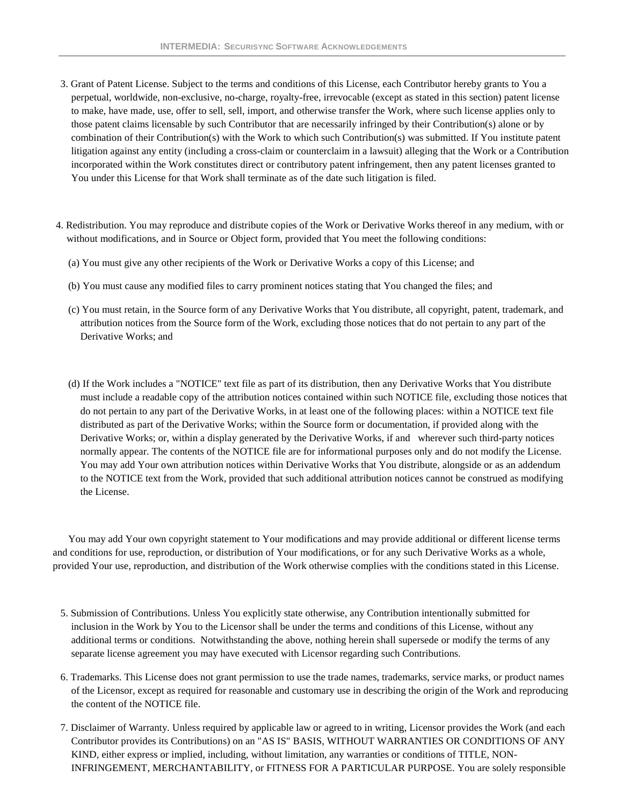- 3. Grant of Patent License. Subject to the terms and conditions of this License, each Contributor hereby grants to You a perpetual, worldwide, non-exclusive, no-charge, royalty-free, irrevocable (except as stated in this section) patent license to make, have made, use, offer to sell, sell, import, and otherwise transfer the Work, where such license applies only to those patent claims licensable by such Contributor that are necessarily infringed by their Contribution(s) alone or by combination of their Contribution(s) with the Work to which such Contribution(s) was submitted. If You institute patent litigation against any entity (including a cross-claim or counterclaim in a lawsuit) alleging that the Work or a Contribution incorporated within the Work constitutes direct or contributory patent infringement, then any patent licenses granted to You under this License for that Work shall terminate as of the date such litigation is filed.
- 4. Redistribution. You may reproduce and distribute copies of the Work or Derivative Works thereof in any medium, with or without modifications, and in Source or Object form, provided that You meet the following conditions:
	- (a) You must give any other recipients of the Work or Derivative Works a copy of this License; and
	- (b) You must cause any modified files to carry prominent notices stating that You changed the files; and
	- (c) You must retain, in the Source form of any Derivative Works that You distribute, all copyright, patent, trademark, and attribution notices from the Source form of the Work, excluding those notices that do not pertain to any part of the Derivative Works; and
	- (d) If the Work includes a "NOTICE" text file as part of its distribution, then any Derivative Works that You distribute must include a readable copy of the attribution notices contained within such NOTICE file, excluding those notices that do not pertain to any part of the Derivative Works, in at least one of the following places: within a NOTICE text file distributed as part of the Derivative Works; within the Source form or documentation, if provided along with the Derivative Works; or, within a display generated by the Derivative Works, if and wherever such third-party notices normally appear. The contents of the NOTICE file are for informational purposes only and do not modify the License. You may add Your own attribution notices within Derivative Works that You distribute, alongside or as an addendum to the NOTICE text from the Work, provided that such additional attribution notices cannot be construed as modifying the License.

 You may add Your own copyright statement to Your modifications and may provide additional or different license terms and conditions for use, reproduction, or distribution of Your modifications, or for any such Derivative Works as a whole, provided Your use, reproduction, and distribution of the Work otherwise complies with the conditions stated in this License.

- 5. Submission of Contributions. Unless You explicitly state otherwise, any Contribution intentionally submitted for inclusion in the Work by You to the Licensor shall be under the terms and conditions of this License, without any additional terms or conditions. Notwithstanding the above, nothing herein shall supersede or modify the terms of any separate license agreement you may have executed with Licensor regarding such Contributions.
- 6. Trademarks. This License does not grant permission to use the trade names, trademarks, service marks, or product names of the Licensor, except as required for reasonable and customary use in describing the origin of the Work and reproducing the content of the NOTICE file.
- 7. Disclaimer of Warranty. Unless required by applicable law or agreed to in writing, Licensor provides the Work (and each Contributor provides its Contributions) on an "AS IS" BASIS, WITHOUT WARRANTIES OR CONDITIONS OF ANY KIND, either express or implied, including, without limitation, any warranties or conditions of TITLE, NON-INFRINGEMENT, MERCHANTABILITY, or FITNESS FOR A PARTICULAR PURPOSE. You are solely responsible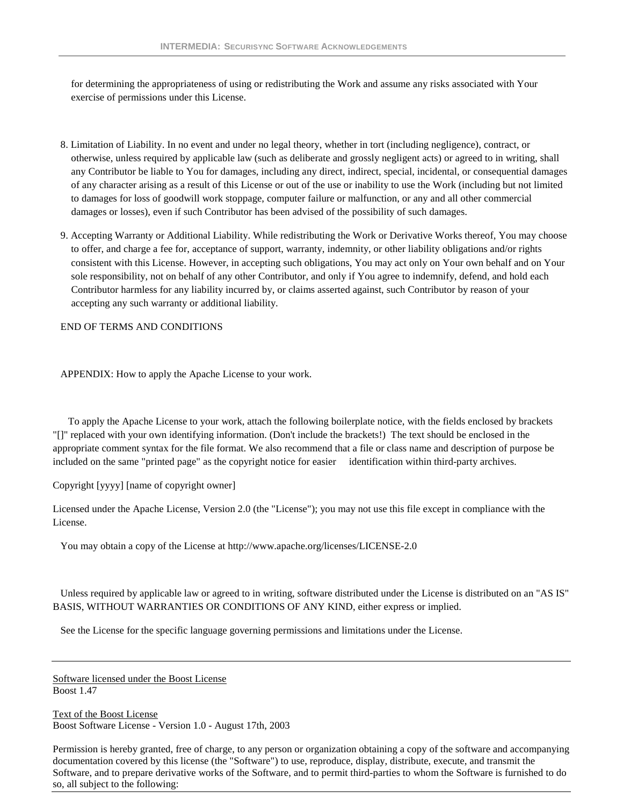for determining the appropriateness of using or redistributing the Work and assume any risks associated with Your exercise of permissions under this License.

- 8. Limitation of Liability. In no event and under no legal theory, whether in tort (including negligence), contract, or otherwise, unless required by applicable law (such as deliberate and grossly negligent acts) or agreed to in writing, shall any Contributor be liable to You for damages, including any direct, indirect, special, incidental, or consequential damages of any character arising as a result of this License or out of the use or inability to use the Work (including but not limited to damages for loss of goodwill work stoppage, computer failure or malfunction, or any and all other commercial damages or losses), even if such Contributor has been advised of the possibility of such damages.
- 9. Accepting Warranty or Additional Liability. While redistributing the Work or Derivative Works thereof, You may choose to offer, and charge a fee for, acceptance of support, warranty, indemnity, or other liability obligations and/or rights consistent with this License. However, in accepting such obligations, You may act only on Your own behalf and on Your sole responsibility, not on behalf of any other Contributor, and only if You agree to indemnify, defend, and hold each Contributor harmless for any liability incurred by, or claims asserted against, such Contributor by reason of your accepting any such warranty or additional liability.

## END OF TERMS AND CONDITIONS

APPENDIX: How to apply the Apache License to your work.

 To apply the Apache License to your work, attach the following boilerplate notice, with the fields enclosed by brackets "[]" replaced with your own identifying information. (Don't include the brackets!) The text should be enclosed in the appropriate comment syntax for the file format. We also recommend that a file or class name and description of purpose be included on the same "printed page" as the copyright notice for easier identification within third-party archives.

Copyright [yyyy] [name of copyright owner]

Licensed under the Apache License, Version 2.0 (the "License"); you may not use this file except in compliance with the License.

You may obtain a copy of the License at http://www.apache.org/licenses/LICENSE-2.0

 Unless required by applicable law or agreed to in writing, software distributed under the License is distributed on an "AS IS" BASIS, WITHOUT WARRANTIES OR CONDITIONS OF ANY KIND, either express or implied.

See the License for the specific language governing permissions and limitations under the License.

Software licensed under the Boost License Boost 1.47

Text of the Boost License Boost Software License - Version 1.0 - August 17th, 2003

Permission is hereby granted, free of charge, to any person or organization obtaining a copy of the software and accompanying documentation covered by this license (the "Software") to use, reproduce, display, distribute, execute, and transmit the Software, and to prepare derivative works of the Software, and to permit third-parties to whom the Software is furnished to do so, all subject to the following: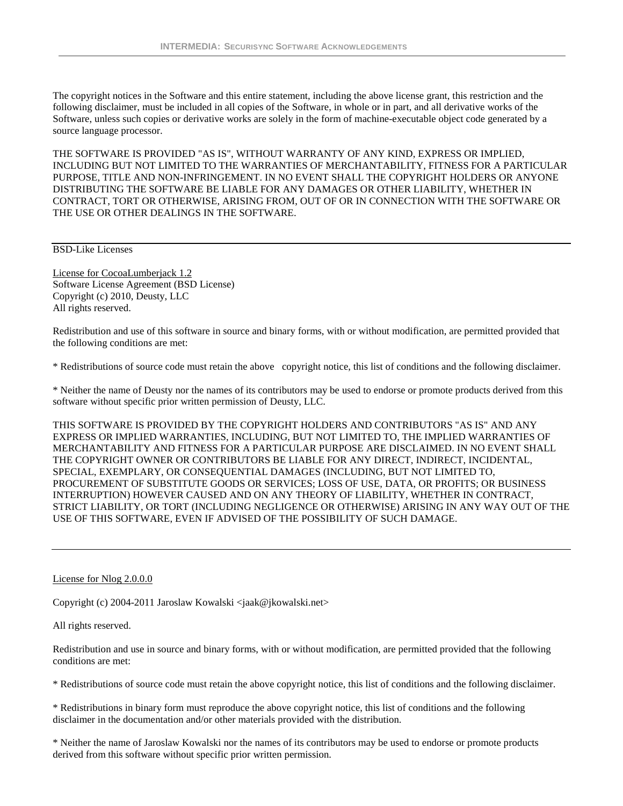The copyright notices in the Software and this entire statement, including the above license grant, this restriction and the following disclaimer, must be included in all copies of the Software, in whole or in part, and all derivative works of the Software, unless such copies or derivative works are solely in the form of machine-executable object code generated by a source language processor.

THE SOFTWARE IS PROVIDED "AS IS", WITHOUT WARRANTY OF ANY KIND, EXPRESS OR IMPLIED, INCLUDING BUT NOT LIMITED TO THE WARRANTIES OF MERCHANTABILITY, FITNESS FOR A PARTICULAR PURPOSE, TITLE AND NON-INFRINGEMENT. IN NO EVENT SHALL THE COPYRIGHT HOLDERS OR ANYONE DISTRIBUTING THE SOFTWARE BE LIABLE FOR ANY DAMAGES OR OTHER LIABILITY, WHETHER IN CONTRACT, TORT OR OTHERWISE, ARISING FROM, OUT OF OR IN CONNECTION WITH THE SOFTWARE OR THE USE OR OTHER DEALINGS IN THE SOFTWARE.

# BSD-Like Licenses

License for CocoaLumberjack 1.2 Software License Agreement (BSD License) Copyright (c) 2010, Deusty, LLC All rights reserved.

Redistribution and use of this software in source and binary forms, with or without modification, are permitted provided that the following conditions are met:

\* Redistributions of source code must retain the above copyright notice, this list of conditions and the following disclaimer.

\* Neither the name of Deusty nor the names of its contributors may be used to endorse or promote products derived from this software without specific prior written permission of Deusty, LLC.

THIS SOFTWARE IS PROVIDED BY THE COPYRIGHT HOLDERS AND CONTRIBUTORS "AS IS" AND ANY EXPRESS OR IMPLIED WARRANTIES, INCLUDING, BUT NOT LIMITED TO, THE IMPLIED WARRANTIES OF MERCHANTABILITY AND FITNESS FOR A PARTICULAR PURPOSE ARE DISCLAIMED. IN NO EVENT SHALL THE COPYRIGHT OWNER OR CONTRIBUTORS BE LIABLE FOR ANY DIRECT, INDIRECT, INCIDENTAL, SPECIAL, EXEMPLARY, OR CONSEQUENTIAL DAMAGES (INCLUDING, BUT NOT LIMITED TO, PROCUREMENT OF SUBSTITUTE GOODS OR SERVICES; LOSS OF USE, DATA, OR PROFITS; OR BUSINESS INTERRUPTION) HOWEVER CAUSED AND ON ANY THEORY OF LIABILITY, WHETHER IN CONTRACT, STRICT LIABILITY, OR TORT (INCLUDING NEGLIGENCE OR OTHERWISE) ARISING IN ANY WAY OUT OF THE USE OF THIS SOFTWARE, EVEN IF ADVISED OF THE POSSIBILITY OF SUCH DAMAGE.

## License for Nlog 2.0.0.0

Copyright (c) 2004-2011 Jaroslaw Kowalski <jaak@jkowalski.net>

All rights reserved.

Redistribution and use in source and binary forms, with or without modification, are permitted provided that the following conditions are met:

\* Redistributions of source code must retain the above copyright notice, this list of conditions and the following disclaimer.

\* Redistributions in binary form must reproduce the above copyright notice, this list of conditions and the following disclaimer in the documentation and/or other materials provided with the distribution.

\* Neither the name of Jaroslaw Kowalski nor the names of its contributors may be used to endorse or promote products derived from this software without specific prior written permission.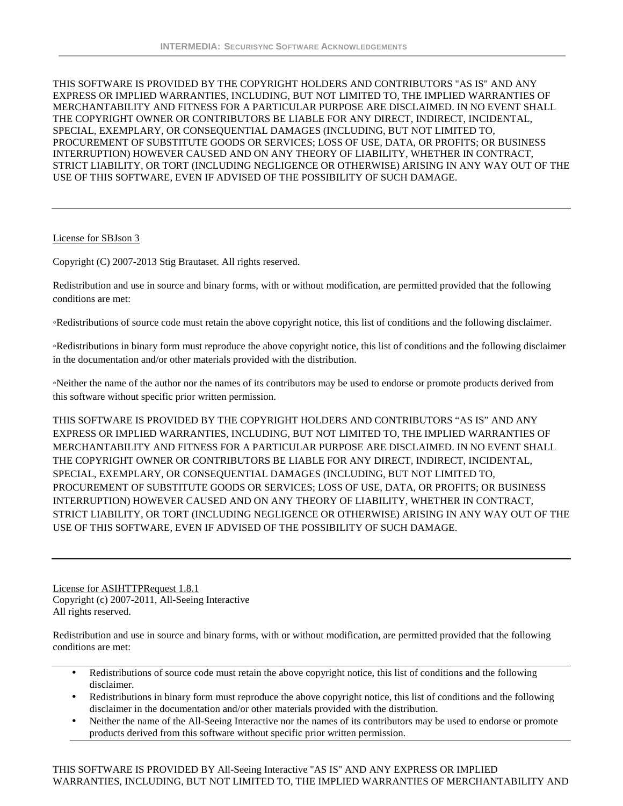THIS SOFTWARE IS PROVIDED BY THE COPYRIGHT HOLDERS AND CONTRIBUTORS "AS IS" AND ANY EXPRESS OR IMPLIED WARRANTIES, INCLUDING, BUT NOT LIMITED TO, THE IMPLIED WARRANTIES OF MERCHANTABILITY AND FITNESS FOR A PARTICULAR PURPOSE ARE DISCLAIMED. IN NO EVENT SHALL THE COPYRIGHT OWNER OR CONTRIBUTORS BE LIABLE FOR ANY DIRECT, INDIRECT, INCIDENTAL, SPECIAL, EXEMPLARY, OR CONSEQUENTIAL DAMAGES (INCLUDING, BUT NOT LIMITED TO, PROCUREMENT OF SUBSTITUTE GOODS OR SERVICES; LOSS OF USE, DATA, OR PROFITS; OR BUSINESS INTERRUPTION) HOWEVER CAUSED AND ON ANY THEORY OF LIABILITY, WHETHER IN CONTRACT, STRICT LIABILITY, OR TORT (INCLUDING NEGLIGENCE OR OTHERWISE) ARISING IN ANY WAY OUT OF THE USE OF THIS SOFTWARE, EVEN IF ADVISED OF THE POSSIBILITY OF SUCH DAMAGE.

License for SBJson 3

Copyright (C) 2007-2013 Stig Brautaset. All rights reserved.

Redistribution and use in source and binary forms, with or without modification, are permitted provided that the following conditions are met:

◦Redistributions of source code must retain the above copyright notice, this list of conditions and the following disclaimer.

◦Redistributions in binary form must reproduce the above copyright notice, this list of conditions and the following disclaimer in the documentation and/or other materials provided with the distribution.

◦Neither the name of the author nor the names of its contributors may be used to endorse or promote products derived from this software without specific prior written permission.

THIS SOFTWARE IS PROVIDED BY THE COPYRIGHT HOLDERS AND CONTRIBUTORS "AS IS" AND ANY EXPRESS OR IMPLIED WARRANTIES, INCLUDING, BUT NOT LIMITED TO, THE IMPLIED WARRANTIES OF MERCHANTABILITY AND FITNESS FOR A PARTICULAR PURPOSE ARE DISCLAIMED. IN NO EVENT SHALL THE COPYRIGHT OWNER OR CONTRIBUTORS BE LIABLE FOR ANY DIRECT, INDIRECT, INCIDENTAL, SPECIAL, EXEMPLARY, OR CONSEQUENTIAL DAMAGES (INCLUDING, BUT NOT LIMITED TO, PROCUREMENT OF SUBSTITUTE GOODS OR SERVICES; LOSS OF USE, DATA, OR PROFITS; OR BUSINESS INTERRUPTION) HOWEVER CAUSED AND ON ANY THEORY OF LIABILITY, WHETHER IN CONTRACT, STRICT LIABILITY, OR TORT (INCLUDING NEGLIGENCE OR OTHERWISE) ARISING IN ANY WAY OUT OF THE USE OF THIS SOFTWARE, EVEN IF ADVISED OF THE POSSIBILITY OF SUCH DAMAGE.

License for ASIHTTPRequest 1.8.1 Copyright (c) 2007-2011, All-Seeing Interactive All rights reserved.

Redistribution and use in source and binary forms, with or without modification, are permitted provided that the following conditions are met:

- Redistributions of source code must retain the above copyright notice, this list of conditions and the following disclaimer.
- Redistributions in binary form must reproduce the above copyright notice, this list of conditions and the following disclaimer in the documentation and/or other materials provided with the distribution.
- Neither the name of the All-Seeing Interactive nor the names of its contributors may be used to endorse or promote products derived from this software without specific prior written permission.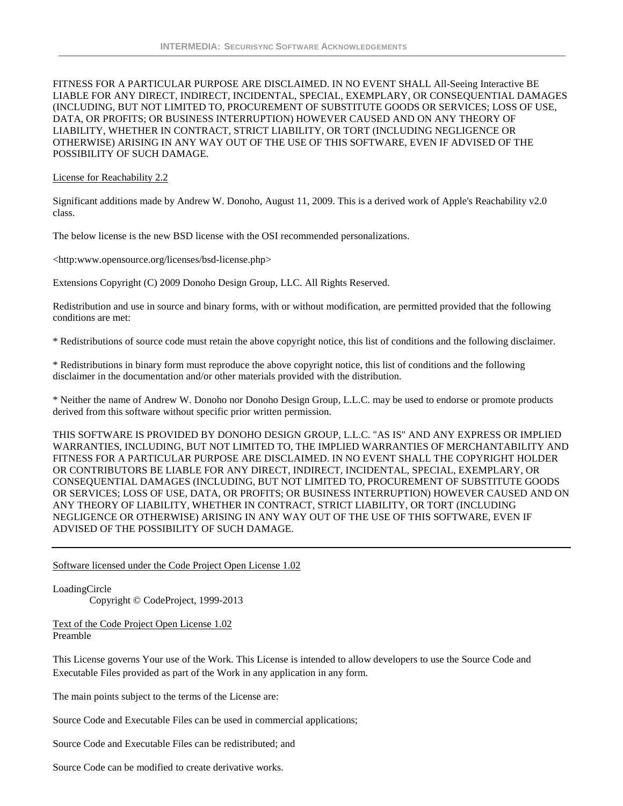FITNESS FOR A PARTICULAR PURPOSE ARE DISCLAIMED. IN NO EVENT SHALL All-Seeing Interactive BE LIABLE FOR ANY DIRECT, INDIRECT, INCIDENTAL, SPECIAL, EXEMPLARY, OR CONSEQUENTIAL DAMAGES (INCLUDING, BUT NOT LIMITED TO, PROCUREMENT OF SUBSTITUTE GOODS OR SERVICES; LOSS OF USE, DATA, OR PROFITS; OR BUSINESS INTERRUPTION) HOWEVER CAUSED AND ON ANY THEORY OF LIABILITY, WHETHER IN CONTRACT, STRICT LIABILITY, OR TORT (INCLUDING NEGLIGENCE OR OTHERWISE) ARISING IN ANY WAY OUT OF THE USE OF THIS SOFTWARE, EVEN IF ADVISED OF THE POSSIBILITY OF SUCH DAMAGE.

#### License for Reachability 2.2

Significant additions made by Andrew W. Donoho, August 11, 2009. This is a derived work of Apple's Reachability v2.0 class.

The below license is the new BSD license with the OSI recommended personalizations.

<http:www.opensource.org/licenses/bsd-license.php>

Extensions Copyright (C) 2009 Donoho Design Group, LLC. All Rights Reserved.

Redistribution and use in source and binary forms, with or without modification, are permitted provided that the following conditions are met:

\* Redistributions of source code must retain the above copyright notice, this list of conditions and the following disclaimer.

\* Redistributions in binary form must reproduce the above copyright notice, this list of conditions and the following disclaimer in the documentation and/or other materials provided with the distribution.

\* Neither the name of Andrew W. Donoho nor Donoho Design Group, L.L.C. may be used to endorse or promote products derived from this software without specific prior written permission.

THIS SOFTWARE IS PROVIDED BY DONOHO DESIGN GROUP, L.L.C. "AS IS" AND ANY EXPRESS OR IMPLIED WARRANTIES, INCLUDING, BUT NOT LIMITED TO, THE IMPLIED WARRANTIES OF MERCHANTABILITY AND FITNESS FOR A PARTICULAR PURPOSE ARE DISCLAIMED. IN NO EVENT SHALL THE COPYRIGHT HOLDER OR CONTRIBUTORS BE LIABLE FOR ANY DIRECT, INDIRECT, INCIDENTAL, SPECIAL, EXEMPLARY, OR CONSEQUENTIAL DAMAGES (INCLUDING, BUT NOT LIMITED TO, PROCUREMENT OF SUBSTITUTE GOODS OR SERVICES; LOSS OF USE, DATA, OR PROFITS; OR BUSINESS INTERRUPTION) HOWEVER CAUSED AND ON ANY THEORY OF LIABILITY, WHETHER IN CONTRACT, STRICT LIABILITY, OR TORT (INCLUDING NEGLIGENCE OR OTHERWISE) ARISING IN ANY WAY OUT OF THE USE OF THIS SOFTWARE, EVEN IF ADVISED OF THE POSSIBILITY OF SUCH DAMAGE.

Software licensed under the Code Project Open License 1.02

LoadingCircle Copyright © CodeProject, 1999-2013

Text of the Code Project Open License 1.02 Preamble

This License governs Your use of the Work. This License is intended to allow developers to use the Source Code and Executable Files provided as part of the Work in any application in any form.

The main points subject to the terms of the License are:

Source Code and Executable Files can be used in commercial applications;

Source Code and Executable Files can be redistributed; and

Source Code can be modified to create derivative works.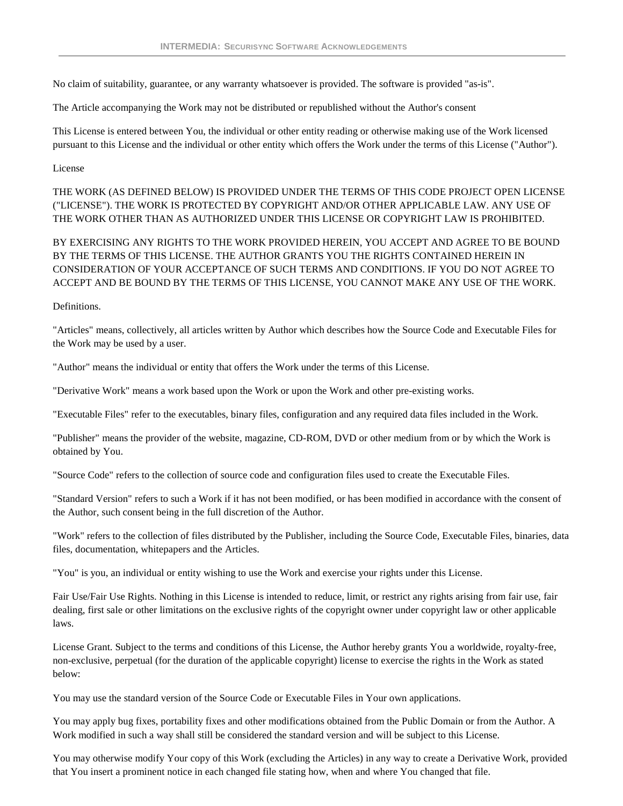No claim of suitability, guarantee, or any warranty whatsoever is provided. The software is provided "as-is".

The Article accompanying the Work may not be distributed or republished without the Author's consent

This License is entered between You, the individual or other entity reading or otherwise making use of the Work licensed pursuant to this License and the individual or other entity which offers the Work under the terms of this License ("Author").

# License

THE WORK (AS DEFINED BELOW) IS PROVIDED UNDER THE TERMS OF THIS CODE PROJECT OPEN LICENSE ("LICENSE"). THE WORK IS PROTECTED BY COPYRIGHT AND/OR OTHER APPLICABLE LAW. ANY USE OF THE WORK OTHER THAN AS AUTHORIZED UNDER THIS LICENSE OR COPYRIGHT LAW IS PROHIBITED.

BY EXERCISING ANY RIGHTS TO THE WORK PROVIDED HEREIN, YOU ACCEPT AND AGREE TO BE BOUND BY THE TERMS OF THIS LICENSE. THE AUTHOR GRANTS YOU THE RIGHTS CONTAINED HEREIN IN CONSIDERATION OF YOUR ACCEPTANCE OF SUCH TERMS AND CONDITIONS. IF YOU DO NOT AGREE TO ACCEPT AND BE BOUND BY THE TERMS OF THIS LICENSE, YOU CANNOT MAKE ANY USE OF THE WORK.

Definitions.

"Articles" means, collectively, all articles written by Author which describes how the Source Code and Executable Files for the Work may be used by a user.

"Author" means the individual or entity that offers the Work under the terms of this License.

"Derivative Work" means a work based upon the Work or upon the Work and other pre-existing works.

"Executable Files" refer to the executables, binary files, configuration and any required data files included in the Work.

"Publisher" means the provider of the website, magazine, CD-ROM, DVD or other medium from or by which the Work is obtained by You.

"Source Code" refers to the collection of source code and configuration files used to create the Executable Files.

"Standard Version" refers to such a Work if it has not been modified, or has been modified in accordance with the consent of the Author, such consent being in the full discretion of the Author.

"Work" refers to the collection of files distributed by the Publisher, including the Source Code, Executable Files, binaries, data files, documentation, whitepapers and the Articles.

"You" is you, an individual or entity wishing to use the Work and exercise your rights under this License.

Fair Use/Fair Use Rights. Nothing in this License is intended to reduce, limit, or restrict any rights arising from fair use, fair dealing, first sale or other limitations on the exclusive rights of the copyright owner under copyright law or other applicable laws.

License Grant. Subject to the terms and conditions of this License, the Author hereby grants You a worldwide, royalty-free, non-exclusive, perpetual (for the duration of the applicable copyright) license to exercise the rights in the Work as stated below:

You may use the standard version of the Source Code or Executable Files in Your own applications.

You may apply bug fixes, portability fixes and other modifications obtained from the Public Domain or from the Author. A Work modified in such a way shall still be considered the standard version and will be subject to this License.

You may otherwise modify Your copy of this Work (excluding the Articles) in any way to create a Derivative Work, provided that You insert a prominent notice in each changed file stating how, when and where You changed that file.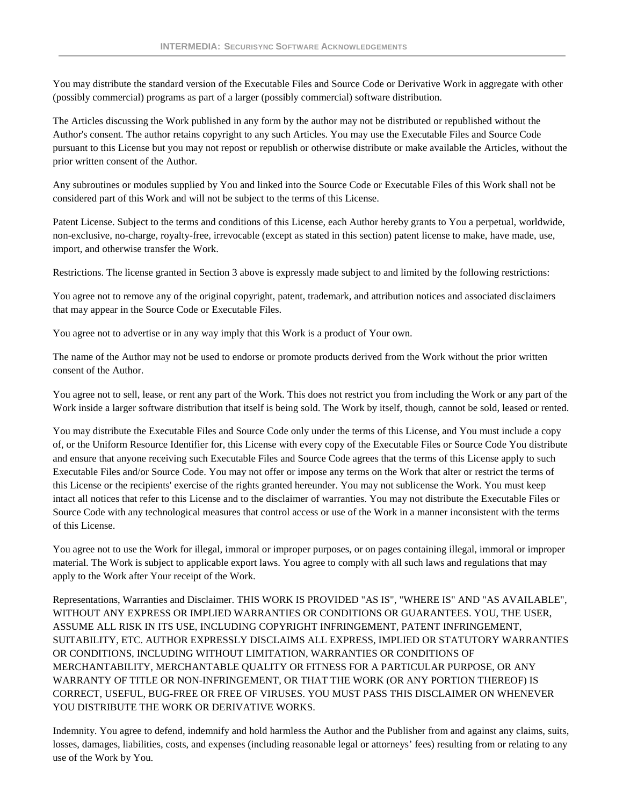You may distribute the standard version of the Executable Files and Source Code or Derivative Work in aggregate with other (possibly commercial) programs as part of a larger (possibly commercial) software distribution.

The Articles discussing the Work published in any form by the author may not be distributed or republished without the Author's consent. The author retains copyright to any such Articles. You may use the Executable Files and Source Code pursuant to this License but you may not repost or republish or otherwise distribute or make available the Articles, without the prior written consent of the Author.

Any subroutines or modules supplied by You and linked into the Source Code or Executable Files of this Work shall not be considered part of this Work and will not be subject to the terms of this License.

Patent License. Subject to the terms and conditions of this License, each Author hereby grants to You a perpetual, worldwide, non-exclusive, no-charge, royalty-free, irrevocable (except as stated in this section) patent license to make, have made, use, import, and otherwise transfer the Work.

Restrictions. The license granted in Section 3 above is expressly made subject to and limited by the following restrictions:

You agree not to remove any of the original copyright, patent, trademark, and attribution notices and associated disclaimers that may appear in the Source Code or Executable Files.

You agree not to advertise or in any way imply that this Work is a product of Your own.

The name of the Author may not be used to endorse or promote products derived from the Work without the prior written consent of the Author.

You agree not to sell, lease, or rent any part of the Work. This does not restrict you from including the Work or any part of the Work inside a larger software distribution that itself is being sold. The Work by itself, though, cannot be sold, leased or rented.

You may distribute the Executable Files and Source Code only under the terms of this License, and You must include a copy of, or the Uniform Resource Identifier for, this License with every copy of the Executable Files or Source Code You distribute and ensure that anyone receiving such Executable Files and Source Code agrees that the terms of this License apply to such Executable Files and/or Source Code. You may not offer or impose any terms on the Work that alter or restrict the terms of this License or the recipients' exercise of the rights granted hereunder. You may not sublicense the Work. You must keep intact all notices that refer to this License and to the disclaimer of warranties. You may not distribute the Executable Files or Source Code with any technological measures that control access or use of the Work in a manner inconsistent with the terms of this License.

You agree not to use the Work for illegal, immoral or improper purposes, or on pages containing illegal, immoral or improper material. The Work is subject to applicable export laws. You agree to comply with all such laws and regulations that may apply to the Work after Your receipt of the Work.

Representations, Warranties and Disclaimer. THIS WORK IS PROVIDED "AS IS", "WHERE IS" AND "AS AVAILABLE", WITHOUT ANY EXPRESS OR IMPLIED WARRANTIES OR CONDITIONS OR GUARANTEES. YOU, THE USER, ASSUME ALL RISK IN ITS USE, INCLUDING COPYRIGHT INFRINGEMENT, PATENT INFRINGEMENT, SUITABILITY, ETC. AUTHOR EXPRESSLY DISCLAIMS ALL EXPRESS, IMPLIED OR STATUTORY WARRANTIES OR CONDITIONS, INCLUDING WITHOUT LIMITATION, WARRANTIES OR CONDITIONS OF MERCHANTABILITY, MERCHANTABLE QUALITY OR FITNESS FOR A PARTICULAR PURPOSE, OR ANY WARRANTY OF TITLE OR NON-INFRINGEMENT, OR THAT THE WORK (OR ANY PORTION THEREOF) IS CORRECT, USEFUL, BUG-FREE OR FREE OF VIRUSES. YOU MUST PASS THIS DISCLAIMER ON WHENEVER YOU DISTRIBUTE THE WORK OR DERIVATIVE WORKS.

Indemnity. You agree to defend, indemnify and hold harmless the Author and the Publisher from and against any claims, suits, losses, damages, liabilities, costs, and expenses (including reasonable legal or attorneys' fees) resulting from or relating to any use of the Work by You.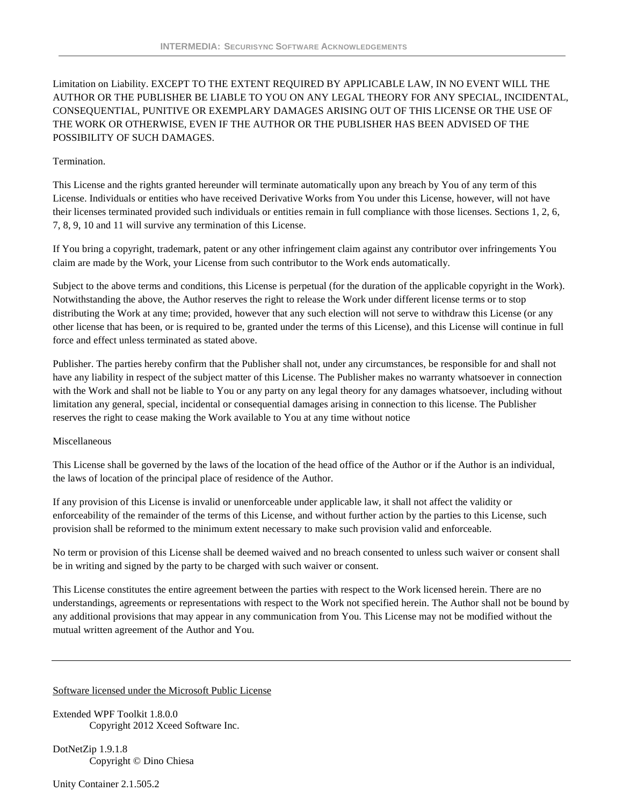Limitation on Liability. EXCEPT TO THE EXTENT REQUIRED BY APPLICABLE LAW, IN NO EVENT WILL THE AUTHOR OR THE PUBLISHER BE LIABLE TO YOU ON ANY LEGAL THEORY FOR ANY SPECIAL, INCIDENTAL, CONSEQUENTIAL, PUNITIVE OR EXEMPLARY DAMAGES ARISING OUT OF THIS LICENSE OR THE USE OF THE WORK OR OTHERWISE, EVEN IF THE AUTHOR OR THE PUBLISHER HAS BEEN ADVISED OF THE POSSIBILITY OF SUCH DAMAGES.

# Termination.

This License and the rights granted hereunder will terminate automatically upon any breach by You of any term of this License. Individuals or entities who have received Derivative Works from You under this License, however, will not have their licenses terminated provided such individuals or entities remain in full compliance with those licenses. Sections 1, 2, 6, 7, 8, 9, 10 and 11 will survive any termination of this License.

If You bring a copyright, trademark, patent or any other infringement claim against any contributor over infringements You claim are made by the Work, your License from such contributor to the Work ends automatically.

Subject to the above terms and conditions, this License is perpetual (for the duration of the applicable copyright in the Work). Notwithstanding the above, the Author reserves the right to release the Work under different license terms or to stop distributing the Work at any time; provided, however that any such election will not serve to withdraw this License (or any other license that has been, or is required to be, granted under the terms of this License), and this License will continue in full force and effect unless terminated as stated above.

Publisher. The parties hereby confirm that the Publisher shall not, under any circumstances, be responsible for and shall not have any liability in respect of the subject matter of this License. The Publisher makes no warranty whatsoever in connection with the Work and shall not be liable to You or any party on any legal theory for any damages whatsoever, including without limitation any general, special, incidental or consequential damages arising in connection to this license. The Publisher reserves the right to cease making the Work available to You at any time without notice

# Miscellaneous

This License shall be governed by the laws of the location of the head office of the Author or if the Author is an individual, the laws of location of the principal place of residence of the Author.

If any provision of this License is invalid or unenforceable under applicable law, it shall not affect the validity or enforceability of the remainder of the terms of this License, and without further action by the parties to this License, such provision shall be reformed to the minimum extent necessary to make such provision valid and enforceable.

No term or provision of this License shall be deemed waived and no breach consented to unless such waiver or consent shall be in writing and signed by the party to be charged with such waiver or consent.

This License constitutes the entire agreement between the parties with respect to the Work licensed herein. There are no understandings, agreements or representations with respect to the Work not specified herein. The Author shall not be bound by any additional provisions that may appear in any communication from You. This License may not be modified without the mutual written agreement of the Author and You.

Software licensed under the Microsoft Public License

Extended WPF Toolkit 1.8.0.0 Copyright 2012 Xceed Software Inc.

DotNetZip 1.9.1.8 Copyright © Dino Chiesa

Unity Container 2.1.505.2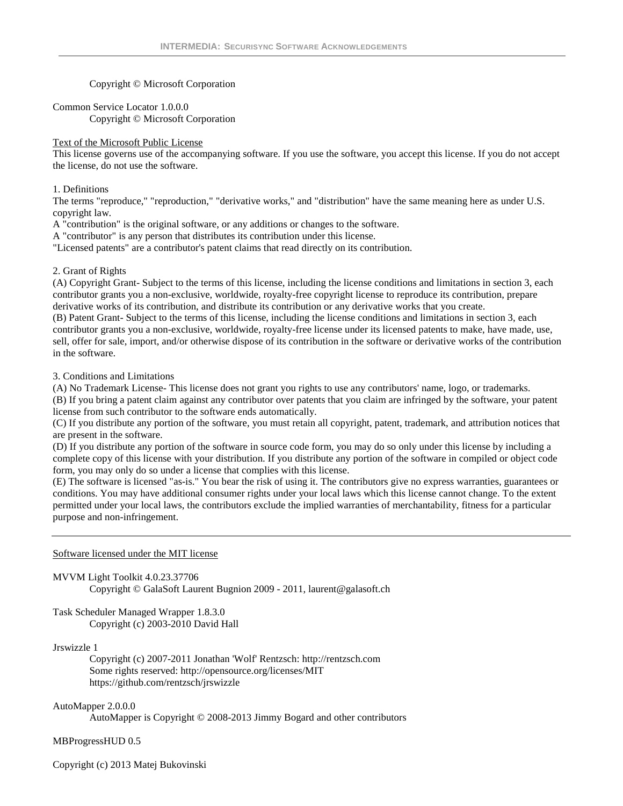# Copyright © Microsoft Corporation

Common Service Locator 1.0.0.0 Copyright © Microsoft Corporation

## Text of the Microsoft Public License

This license governs use of the accompanying software. If you use the software, you accept this license. If you do not accept the license, do not use the software.

#### 1. Definitions

The terms "reproduce," "reproduction," "derivative works," and "distribution" have the same meaning here as under U.S. copyright law.

A "contribution" is the original software, or any additions or changes to the software.

A "contributor" is any person that distributes its contribution under this license.

"Licensed patents" are a contributor's patent claims that read directly on its contribution.

## 2. Grant of Rights

(A) Copyright Grant- Subject to the terms of this license, including the license conditions and limitations in section 3, each contributor grants you a non-exclusive, worldwide, royalty-free copyright license to reproduce its contribution, prepare derivative works of its contribution, and distribute its contribution or any derivative works that you create.

(B) Patent Grant- Subject to the terms of this license, including the license conditions and limitations in section 3, each contributor grants you a non-exclusive, worldwide, royalty-free license under its licensed patents to make, have made, use, sell, offer for sale, import, and/or otherwise dispose of its contribution in the software or derivative works of the contribution in the software.

3. Conditions and Limitations

(A) No Trademark License- This license does not grant you rights to use any contributors' name, logo, or trademarks.

(B) If you bring a patent claim against any contributor over patents that you claim are infringed by the software, your patent license from such contributor to the software ends automatically.

(C) If you distribute any portion of the software, you must retain all copyright, patent, trademark, and attribution notices that are present in the software.

(D) If you distribute any portion of the software in source code form, you may do so only under this license by including a complete copy of this license with your distribution. If you distribute any portion of the software in compiled or object code form, you may only do so under a license that complies with this license.

(E) The software is licensed "as-is." You bear the risk of using it. The contributors give no express warranties, guarantees or conditions. You may have additional consumer rights under your local laws which this license cannot change. To the extent permitted under your local laws, the contributors exclude the implied warranties of merchantability, fitness for a particular purpose and non-infringement.

## Software licensed under the MIT license

MVVM Light Toolkit 4.0.23.37706 Copyright © GalaSoft Laurent Bugnion 2009 - 2011, laurent@galasoft.ch

Task Scheduler Managed Wrapper 1.8.3.0 Copyright (c) 2003-2010 David Hall

## Jrswizzle 1

Copyright (c) 2007-2011 Jonathan 'Wolf' Rentzsch: http://rentzsch.com Some rights reserved: http://opensource.org/licenses/MIT https://github.com/rentzsch/jrswizzle

AutoMapper 2.0.0.0

AutoMapper is Copyright © 2008-2013 Jimmy Bogard and other contributors

MBProgressHUD 0.5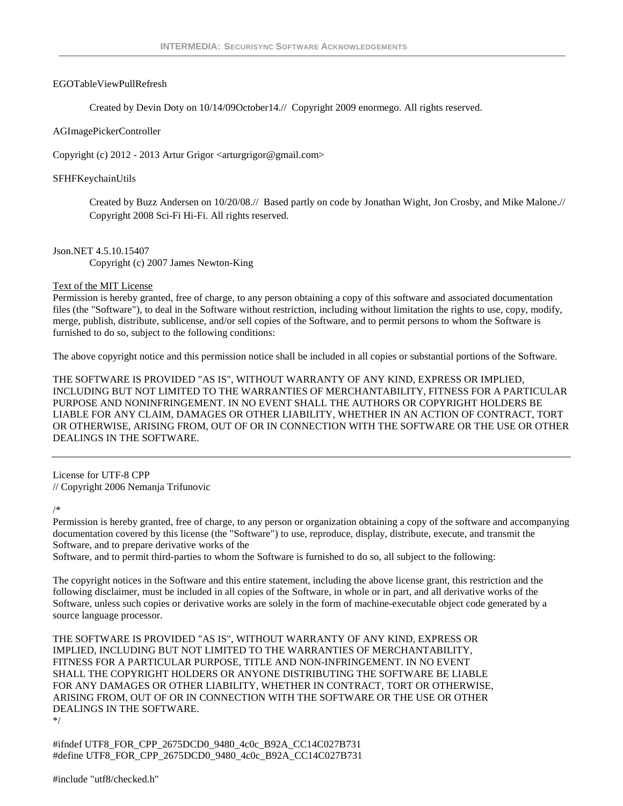## EGOTableViewPullRefresh

Created by Devin Doty on 10/14/09October14.// Copyright 2009 enormego. All rights reserved.

#### AGImagePickerController

Copyright (c) 2012 - 2013 Artur Grigor <arturgrigor@gmail.com>

#### SFHFKeychainUtils

Created by Buzz Andersen on 10/20/08.// Based partly on code by Jonathan Wight, Jon Crosby, and Mike Malone.// Copyright 2008 Sci-Fi Hi-Fi. All rights reserved.

## Json.NET 4.5.10.15407

Copyright (c) 2007 James Newton-King

#### Text of the MIT License

Permission is hereby granted, free of charge, to any person obtaining a copy of this software and associated documentation files (the "Software"), to deal in the Software without restriction, including without limitation the rights to use, copy, modify, merge, publish, distribute, sublicense, and/or sell copies of the Software, and to permit persons to whom the Software is furnished to do so, subject to the following conditions:

The above copyright notice and this permission notice shall be included in all copies or substantial portions of the Software.

THE SOFTWARE IS PROVIDED "AS IS", WITHOUT WARRANTY OF ANY KIND, EXPRESS OR IMPLIED, INCLUDING BUT NOT LIMITED TO THE WARRANTIES OF MERCHANTABILITY, FITNESS FOR A PARTICULAR PURPOSE AND NONINFRINGEMENT. IN NO EVENT SHALL THE AUTHORS OR COPYRIGHT HOLDERS BE LIABLE FOR ANY CLAIM, DAMAGES OR OTHER LIABILITY, WHETHER IN AN ACTION OF CONTRACT, TORT OR OTHERWISE, ARISING FROM, OUT OF OR IN CONNECTION WITH THE SOFTWARE OR THE USE OR OTHER DEALINGS IN THE SOFTWARE.

License for UTF-8 CPP // Copyright 2006 Nemanja Trifunovic

#### /\*

Permission is hereby granted, free of charge, to any person or organization obtaining a copy of the software and accompanying documentation covered by this license (the "Software") to use, reproduce, display, distribute, execute, and transmit the Software, and to prepare derivative works of the

Software, and to permit third-parties to whom the Software is furnished to do so, all subject to the following:

The copyright notices in the Software and this entire statement, including the above license grant, this restriction and the following disclaimer, must be included in all copies of the Software, in whole or in part, and all derivative works of the Software, unless such copies or derivative works are solely in the form of machine-executable object code generated by a source language processor.

THE SOFTWARE IS PROVIDED "AS IS", WITHOUT WARRANTY OF ANY KIND, EXPRESS OR IMPLIED, INCLUDING BUT NOT LIMITED TO THE WARRANTIES OF MERCHANTABILITY, FITNESS FOR A PARTICULAR PURPOSE, TITLE AND NON-INFRINGEMENT. IN NO EVENT SHALL THE COPYRIGHT HOLDERS OR ANYONE DISTRIBUTING THE SOFTWARE BE LIABLE FOR ANY DAMAGES OR OTHER LIABILITY, WHETHER IN CONTRACT, TORT OR OTHERWISE, ARISING FROM, OUT OF OR IN CONNECTION WITH THE SOFTWARE OR THE USE OR OTHER DEALINGS IN THE SOFTWARE.

\*/

#ifndef UTF8\_FOR\_CPP\_2675DCD0\_9480\_4c0c\_B92A\_CC14C027B731 #define UTF8\_FOR\_CPP\_2675DCD0\_9480\_4c0c\_B92A\_CC14C027B731